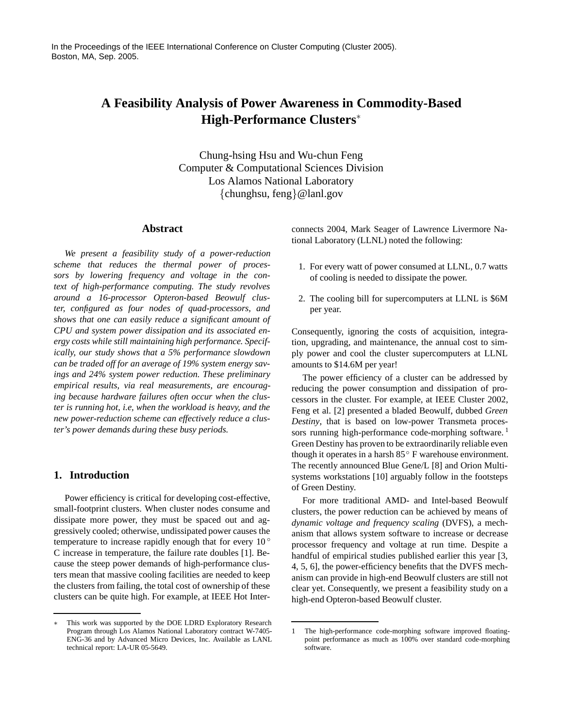In the Proceedings of the IEEE International Conference on Cluster Computing (Cluster 2005). Boston, MA, Sep. 2005.

# **A Feasibility Analysis of Power Awareness in Commodity-Based High-Performance Clusters**<sup>∗</sup>

Chung-hsing Hsu and Wu-chun Feng Computer & Computational Sciences Division Los Alamos National Laboratory {chunghsu, feng}@lanl.gov

# **Abstract**

*We present a feasibility study of a power-reduction scheme that reduces the thermal power of processors by lowering frequency and voltage in the context of high-performance computing. The study revolves around a 16-processor Opteron-based Beowulf cluster, configured as four nodes of quad-processors, and shows that one can easily reduce a significant amount of CPU and system power dissipation and its associated energy costs while still maintaining high performance. Specifically, our study shows that a 5% performance slowdown can be traded off for an average of 19% system energy savings and 24% system power reduction. These preliminary empirical results, via real measurements, are encouraging because hardware failures often occur when the cluster is running hot, i.e, when the workload is heavy, and the new power-reduction scheme can effectively reduce a cluster's power demands during these busy periods.*

### **1. Introduction**

Power efficiency is critical for developing cost-effective, small-footprint clusters. When cluster nodes consume and dissipate more power, they must be spaced out and aggressively cooled; otherwise, undissipated power causes the temperature to increase rapidly enough that for every  $10^{\circ}$ C increase in temperature, the failure rate doubles [1]. Because the steep power demands of high-performance clusters mean that massive cooling facilities are needed to keep the clusters from failing, the total cost of ownership of these clusters can be quite high. For example, at IEEE Hot Interconnects 2004, Mark Seager of Lawrence Livermore National Laboratory (LLNL) noted the following:

- 1. For every watt of power consumed at LLNL, 0.7 watts of cooling is needed to dissipate the power.
- 2. The cooling bill for supercomputers at LLNL is \$6M per year.

Consequently, ignoring the costs of acquisition, integration, upgrading, and maintenance, the annual cost to simply power and cool the cluster supercomputers at LLNL amounts to \$14.6M per year!

The power efficiency of a cluster can be addressed by reducing the power consumption and dissipation of processors in the cluster. For example, at IEEE Cluster 2002, Feng et al. [2] presented a bladed Beowulf, dubbed *Green Destiny*, that is based on low-power Transmeta processors running high-performance code-morphing software.<sup>1</sup> Green Destiny has proven to be extraordinarily reliable even though it operates in a harsh 85◦ F warehouse environment. The recently announced Blue Gene/L [8] and Orion Multisystems workstations [10] arguably follow in the footsteps of Green Destiny.

For more traditional AMD- and Intel-based Beowulf clusters, the power reduction can be achieved by means of *dynamic voltage and frequency scaling* (DVFS), a mechanism that allows system software to increase or decrease processor frequency and voltage at run time. Despite a handful of empirical studies published earlier this year [3, 4, 5, 6], the power-efficiency benefits that the DVFS mechanism can provide in high-end Beowulf clusters are still not clear yet. Consequently, we present a feasibility study on a high-end Opteron-based Beowulf cluster.

This work was supported by the DOE LDRD Exploratory Research Program through Los Alamos National Laboratory contract W-7405- ENG-36 and by Advanced Micro Devices, Inc. Available as LANL technical report: LA-UR 05-5649.

<sup>1</sup> The high-performance code-morphing software improved floatingpoint performance as much as 100% over standard code-morphing software.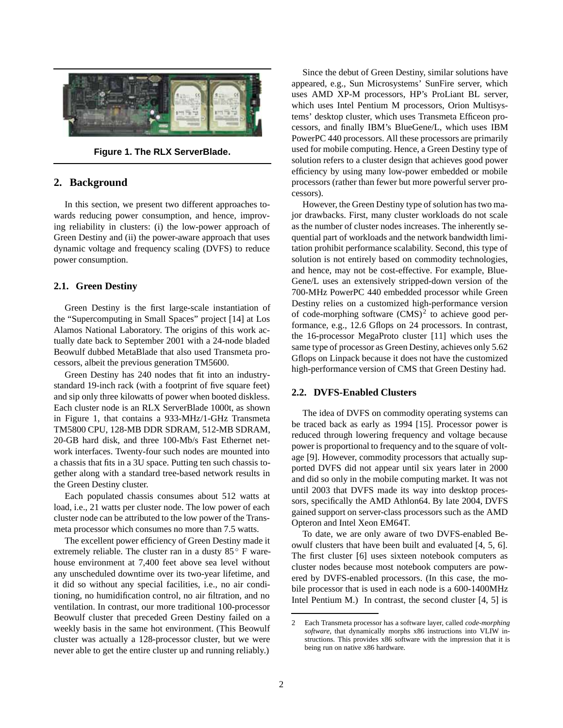

**Figure 1. The RLX ServerBlade.**

# **2. Background**

In this section, we present two different approaches towards reducing power consumption, and hence, improving reliability in clusters: (i) the low-power approach of Green Destiny and (ii) the power-aware approach that uses dynamic voltage and frequency scaling (DVFS) to reduce power consumption.

### **2.1. Green Destiny**

Green Destiny is the first large-scale instantiation of the "Supercomputing in Small Spaces" project [14] at Los Alamos National Laboratory. The origins of this work actually date back to September 2001 with a 24-node bladed Beowulf dubbed MetaBlade that also used Transmeta processors, albeit the previous generation TM5600.

Green Destiny has 240 nodes that fit into an industrystandard 19-inch rack (with a footprint of five square feet) and sip only three kilowatts of power when booted diskless. Each cluster node is an RLX ServerBlade 1000t, as shown in Figure 1, that contains a 933-MHz/1-GHz Transmeta TM5800 CPU, 128-MB DDR SDRAM, 512-MB SDRAM, 20-GB hard disk, and three 100-Mb/s Fast Ethernet network interfaces. Twenty-four such nodes are mounted into a chassis that fits in a 3U space. Putting ten such chassis together along with a standard tree-based network results in the Green Destiny cluster.

Each populated chassis consumes about 512 watts at load, i.e., 21 watts per cluster node. The low power of each cluster node can be attributed to the low power of the Transmeta processor which consumes no more than 7.5 watts.

The excellent power efficiency of Green Destiny made it extremely reliable. The cluster ran in a dusty 85◦ F warehouse environment at 7,400 feet above sea level without any unscheduled downtime over its two-year lifetime, and it did so without any special facilities, i.e., no air conditioning, no humidification control, no air filtration, and no ventilation. In contrast, our more traditional 100-processor Beowulf cluster that preceded Green Destiny failed on a weekly basis in the same hot environment. (This Beowulf cluster was actually a 128-processor cluster, but we were never able to get the entire cluster up and running reliably.)

Since the debut of Green Destiny, similar solutions have appeared, e.g., Sun Microsystems' SunFire server, which uses AMD XP-M processors, HP's ProLiant BL server, which uses Intel Pentium M processors, Orion Multisystems' desktop cluster, which uses Transmeta Efficeon processors, and finally IBM's BlueGene/L, which uses IBM PowerPC 440 processors. All these processors are primarily used for mobile computing. Hence, a Green Destiny type of solution refers to a cluster design that achieves good power efficiency by using many low-power embedded or mobile processors (rather than fewer but more powerful server processors).

However, the Green Destiny type of solution has two major drawbacks. First, many cluster workloads do not scale as the number of cluster nodes increases. The inherently sequential part of workloads and the network bandwidth limitation prohibit performance scalability. Second, this type of solution is not entirely based on commodity technologies, and hence, may not be cost-effective. For example, Blue-Gene/L uses an extensively stripped-down version of the 700-MHz PowerPC 440 embedded processor while Green Destiny relies on a customized high-performance version of code-morphing software  $(CMS)^2$  to achieve good performance, e.g., 12.6 Gflops on 24 processors. In contrast, the 16-processor MegaProto cluster [11] which uses the same type of processor as Green Destiny, achieves only 5.62 Gflops on Linpack because it does not have the customized high-performance version of CMS that Green Destiny had.

#### **2.2. DVFS-Enabled Clusters**

The idea of DVFS on commodity operating systems can be traced back as early as 1994 [15]. Processor power is reduced through lowering frequency and voltage because power is proportional to frequency and to the square of voltage [9]. However, commodity processors that actually supported DVFS did not appear until six years later in 2000 and did so only in the mobile computing market. It was not until 2003 that DVFS made its way into desktop processors, specifically the AMD Athlon64. By late 2004, DVFS gained support on server-class processors such as the AMD Opteron and Intel Xeon EM64T.

To date, we are only aware of two DVFS-enabled Beowulf clusters that have been built and evaluated [4, 5, 6]. The first cluster [6] uses sixteen notebook computers as cluster nodes because most notebook computers are powered by DVFS-enabled processors. (In this case, the mobile processor that is used in each node is a 600-1400MHz Intel Pentium M.) In contrast, the second cluster  $[4, 5]$  is

<sup>2</sup> Each Transmeta processor has a software layer, called *code-morphing software*, that dynamically morphs x86 instructions into VLIW instructions. This provides x86 software with the impression that it is being run on native x86 hardware.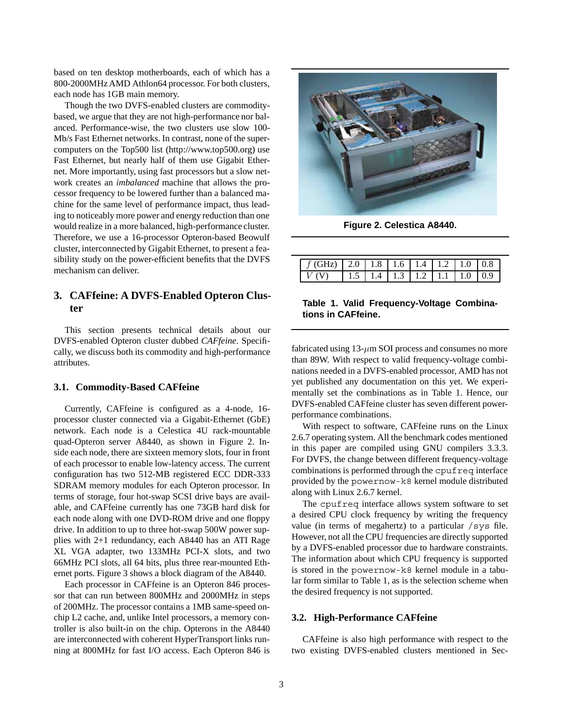based on ten desktop motherboards, each of which has a 800-2000MHz AMD Athlon64 processor. For both clusters, each node has 1GB main memory.

Though the two DVFS-enabled clusters are commoditybased, we argue that they are not high-performance nor balanced. Performance-wise, the two clusters use slow 100- Mb/s Fast Ethernet networks. In contrast, none of the supercomputers on the Top500 list (http://www.top500.org) use Fast Ethernet, but nearly half of them use Gigabit Ethernet. More importantly, using fast processors but a slow network creates an *imbalanced* machine that allows the processor frequency to be lowered further than a balanced machine for the same level of performance impact, thus leading to noticeably more power and energy reduction than one would realize in a more balanced, high-performance cluster. Therefore, we use a 16-processor Opteron-based Beowulf cluster, interconnected by Gigabit Ethernet, to present a feasibility study on the power-efficient benefits that the DVFS mechanism can deliver.

# **3. CAFfeine: A DVFS-Enabled Opteron Cluster**

This section presents technical details about our DVFS-enabled Opteron cluster dubbed *CAFfeine*. Specifically, we discuss both its commodity and high-performance attributes.

#### **3.1. Commodity-Based CAFfeine**

Currently, CAFfeine is configured as a 4-node, 16 processor cluster connected via a Gigabit-Ethernet (GbE) network. Each node is a Celestica 4U rack-mountable quad-Opteron server A8440, as shown in Figure 2. Inside each node, there are sixteen memory slots, four in front of each processor to enable low-latency access. The current configuration has two 512-MB registered ECC DDR-333 SDRAM memory modules for each Opteron processor. In terms of storage, four hot-swap SCSI drive bays are available, and CAFfeine currently has one 73GB hard disk for each node along with one DVD-ROM drive and one floppy drive. In addition to up to three hot-swap 500W power supplies with 2+1 redundancy, each A8440 has an ATI Rage XL VGA adapter, two 133MHz PCI-X slots, and two 66MHz PCI slots, all 64 bits, plus three rear-mounted Ethernet ports. Figure 3 shows a block diagram of the A8440.

Each processor in CAFfeine is an Opteron 846 processor that can run between 800MHz and 2000MHz in steps of 200MHz. The processor contains a 1MB same-speed onchip L2 cache, and, unlike Intel processors, a memory controller is also built-in on the chip. Opterons in the A8440 are interconnected with coherent HyperTransport links running at 800MHz for fast I/O access. Each Opteron 846 is



**Figure 2. Celestica A8440.**

| $f(GHz)$ 2.0 1.8 1.6 1.4 1.2 1.0 0.8 |  |  |  |  |
|--------------------------------------|--|--|--|--|
| $ V(V)$ 1.5 1.4 1.3 1.2 1.1 1.0 0.9  |  |  |  |  |

# **Table 1. Valid Frequency-Voltage Combinations in CAFfeine.**

fabricated using 13-*µ*m SOI process and consumes no more than 89W. With respect to valid frequency-voltage combinations needed in a DVFS-enabled processor, AMD has not yet published any documentation on this yet. We experimentally set the combinations as in Table 1. Hence, our DVFS-enabled CAFfeine cluster has seven different powerperformance combinations.

With respect to software, CAFfeine runs on the Linux 2.6.7 operating system. All the benchmark codes mentioned in this paper are compiled using GNU compilers 3.3.3. For DVFS, the change between different frequency-voltage combinations is performed through the cpufreq interface provided by the powernow-k8 kernel module distributed along with Linux 2.6.7 kernel.

The cpufreq interface allows system software to set a desired CPU clock frequency by writing the frequency value (in terms of megahertz) to a particular /sys file. However, not all the CPU frequencies are directly supported by a DVFS-enabled processor due to hardware constraints. The information about which CPU frequency is supported is stored in the powernow-k8 kernel module in a tabular form similar to Table 1, as is the selection scheme when the desired frequency is not supported.

#### **3.2. High-Performance CAFfeine**

CAFfeine is also high performance with respect to the two existing DVFS-enabled clusters mentioned in Sec-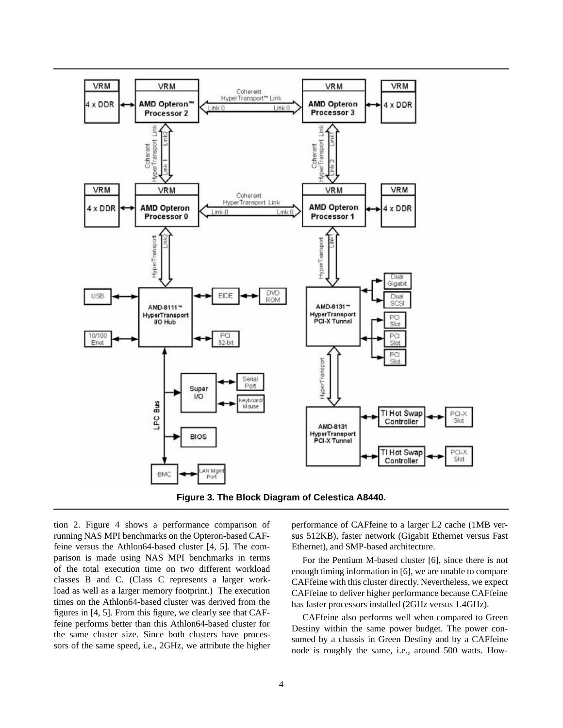

**Figure 3. The Block Diagram of Celestica A8440.**

tion 2. Figure 4 shows a performance comparison of running NAS MPI benchmarks on the Opteron-based CAFfeine versus the Athlon64-based cluster [4, 5]. The comparison is made using NAS MPI benchmarks in terms of the total execution time on two different workload classes B and C. (Class C represents a larger workload as well as a larger memory footprint.) The execution times on the Athlon64-based cluster was derived from the figures in [4, 5]. From this figure, we clearly see that CAFfeine performs better than this Athlon64-based cluster for the same cluster size. Since both clusters have processors of the same speed, i.e., 2GHz, we attribute the higher

performance of CAFfeine to a larger L2 cache (1MB versus 512KB), faster network (Gigabit Ethernet versus Fast Ethernet), and SMP-based architecture.

For the Pentium M-based cluster [6], since there is not enough timing information in [6], we are unable to compare CAFfeine with this cluster directly. Nevertheless, we expect CAFfeine to deliver higher performance because CAFfeine has faster processors installed (2GHz versus 1.4GHz).

CAFfeine also performs well when compared to Green Destiny within the same power budget. The power consumed by a chassis in Green Destiny and by a CAFfeine node is roughly the same, i.e., around 500 watts. How-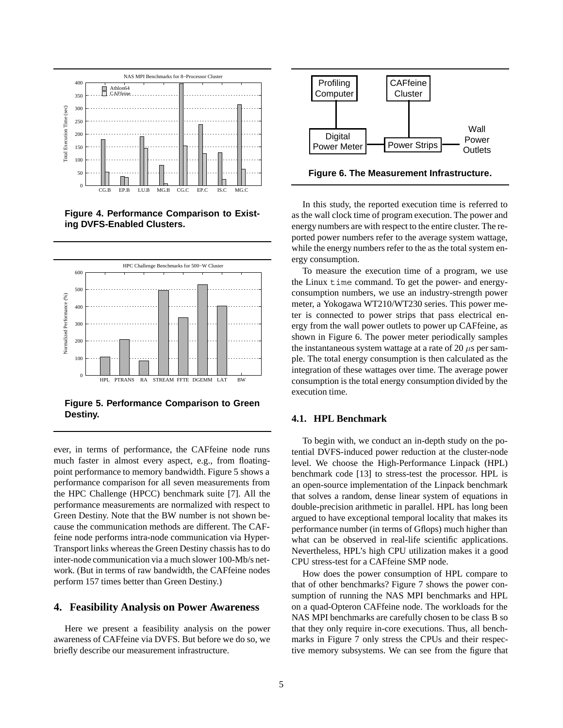

**Figure 4. Performance Comparison to Existing DVFS-Enabled Clusters.**



**Figure 5. Performance Comparison to Green Destiny.**

ever, in terms of performance, the CAFfeine node runs much faster in almost every aspect, e.g., from floatingpoint performance to memory bandwidth. Figure 5 shows a performance comparison for all seven measurements from the HPC Challenge (HPCC) benchmark suite [7]. All the performance measurements are normalized with respect to Green Destiny. Note that the BW number is not shown because the communication methods are different. The CAFfeine node performs intra-node communication via Hyper-Transport links whereas the Green Destiny chassis has to do inter-node communication via a much slower 100-Mb/s network. (But in terms of raw bandwidth, the CAFfeine nodes perform 157 times better than Green Destiny.)

# **4. Feasibility Analysis on Power Awareness**

Here we present a feasibility analysis on the power awareness of CAFfeine via DVFS. But before we do so, we briefly describe our measurement infrastructure.



**Figure 6. The Measurement Infrastructure.**

In this study, the reported execution time is referred to as the wall clock time of program execution. The power and energy numbers are with respect to the entire cluster. The reported power numbers refer to the average system wattage, while the energy numbers refer to the as the total system energy consumption.

To measure the execution time of a program, we use the Linux time command. To get the power- and energyconsumption numbers, we use an industry-strength power meter, a Yokogawa WT210/WT230 series. This power meter is connected to power strips that pass electrical energy from the wall power outlets to power up CAFfeine, as shown in Figure 6. The power meter periodically samples the instantaneous system wattage at a rate of 20 *µ*s per sample. The total energy consumption is then calculated as the integration of these wattages over time. The average power consumption is the total energy consumption divided by the execution time.

#### **4.1. HPL Benchmark**

To begin with, we conduct an in-depth study on the potential DVFS-induced power reduction at the cluster-node level. We choose the High-Performance Linpack (HPL) benchmark code [13] to stress-test the processor. HPL is an open-source implementation of the Linpack benchmark that solves a random, dense linear system of equations in double-precision arithmetic in parallel. HPL has long been argued to have exceptional temporal locality that makes its performance number (in terms of Gflops) much higher than what can be observed in real-life scientific applications. Nevertheless, HPL's high CPU utilization makes it a good CPU stress-test for a CAFfeine SMP node.

How does the power consumption of HPL compare to that of other benchmarks? Figure 7 shows the power consumption of running the NAS MPI benchmarks and HPL on a quad-Opteron CAFfeine node. The workloads for the NAS MPI benchmarks are carefully chosen to be class B so that they only require in-core executions. Thus, all benchmarks in Figure 7 only stress the CPUs and their respective memory subsystems. We can see from the figure that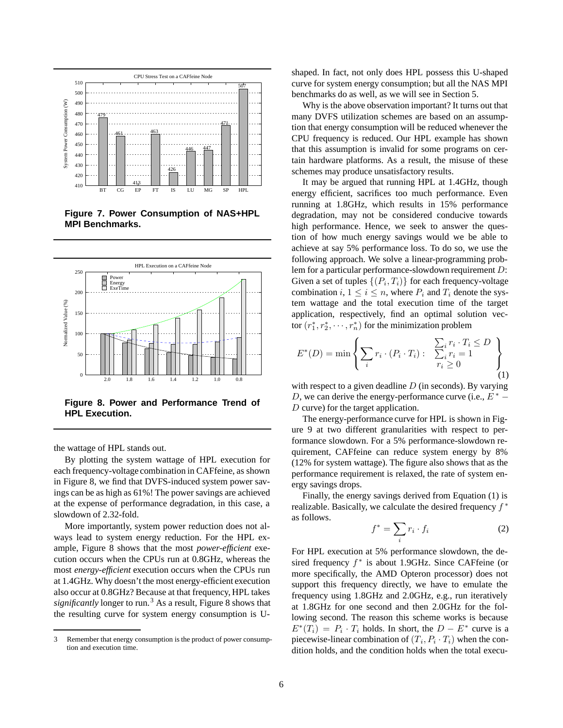

**Figure 7. Power Consumption of NAS+HPL MPI Benchmarks.**



**Figure 8. Power and Performance Trend of HPL Execution.**

the wattage of HPL stands out.

By plotting the system wattage of HPL execution for each frequency-voltage combination in CAFfeine, as shown in Figure 8, we find that DVFS-induced system power savings can be as high as 61%! The power savings are achieved at the expense of performance degradation, in this case, a slowdown of 2.32-fold.

More importantly, system power reduction does not always lead to system energy reduction. For the HPL example, Figure 8 shows that the most *power-efficient* execution occurs when the CPUs run at 0.8GHz, whereas the most *energy-efficient* execution occurs when the CPUs run at 1.4GHz. Why doesn't the most energy-efficient execution also occur at 0.8GHz? Because at that frequency, HPL takes *significantly* longer to run.<sup>3</sup> As a result, Figure 8 shows that the resulting curve for system energy consumption is U-

shaped. In fact, not only does HPL possess this U-shaped curve for system energy consumption; but all the NAS MPI benchmarks do as well, as we will see in Section 5.

Why is the above observation important? It turns out that many DVFS utilization schemes are based on an assumption that energy consumption will be reduced whenever the CPU frequency is reduced. Our HPL example has shown that this assumption is invalid for some programs on certain hardware platforms. As a result, the misuse of these schemes may produce unsatisfactory results.

It may be argued that running HPL at 1.4GHz, though energy efficient, sacrifices too much performance. Even running at 1.8GHz, which results in 15% performance degradation, may not be considered conducive towards high performance. Hence, we seek to answer the question of how much energy savings would we be able to achieve at say 5% performance loss. To do so, we use the following approach. We solve a linear-programming problem for a particular performance-slowdown requirement *D*: Given a set of tuples  $\{(P_i, T_i)\}\)$  for each frequency-voltage combination *i*,  $1 \le i \le n$ , where  $P_i$  and  $T_i$  denote the system wattage and the total execution time of the target application, respectively, find an optimal solution vector  $(r_1^*, r_2^*, \dots, r_n^*)$  for the minimization problem

$$
E^*(D) = \min\left\{\sum_i r_i \cdot (P_i \cdot T_i) : \begin{array}{l} \sum_i r_i \cdot T_i \le D \\ \sum_i r_i = 1 \\ r_i \ge 0 \end{array}\right\}
$$
 (1)

with respect to a given deadline *D* (in seconds). By varying *D*, we can derive the energy-performance curve (i.e.,  $E^*$  − *D* curve) for the target application.

The energy-performance curve for HPL is shown in Figure 9 at two different granularities with respect to performance slowdown. For a 5% performance-slowdown requirement, CAFfeine can reduce system energy by 8% (12% for system wattage). The figure also shows that as the performance requirement is relaxed, the rate of system energy savings drops.

Finally, the energy savings derived from Equation (1) is realizable. Basically, we calculate the desired frequency *f* <sup>∗</sup> as follows.

$$
f^* = \sum_i r_i \cdot f_i \tag{2}
$$

For HPL execution at 5% performance slowdown, the desired frequency *f*<sup>∗</sup> is about 1.9GHz. Since CAFfeine (or more specifically, the AMD Opteron processor) does not support this frequency directly, we have to emulate the frequency using 1.8GHz and 2.0GHz, e.g., run iteratively at 1.8GHz for one second and then 2.0GHz for the following second. The reason this scheme works is because  $E^*(T_i) = P_i \cdot T_i$  holds. In short, the  $D - E^*$  curve is a piecewise-linear combination of  $(T_i, P_i \cdot T_i)$  when the condition holds, and the condition holds when the total execu-

<sup>3</sup> Remember that energy consumption is the product of power consumption and execution time.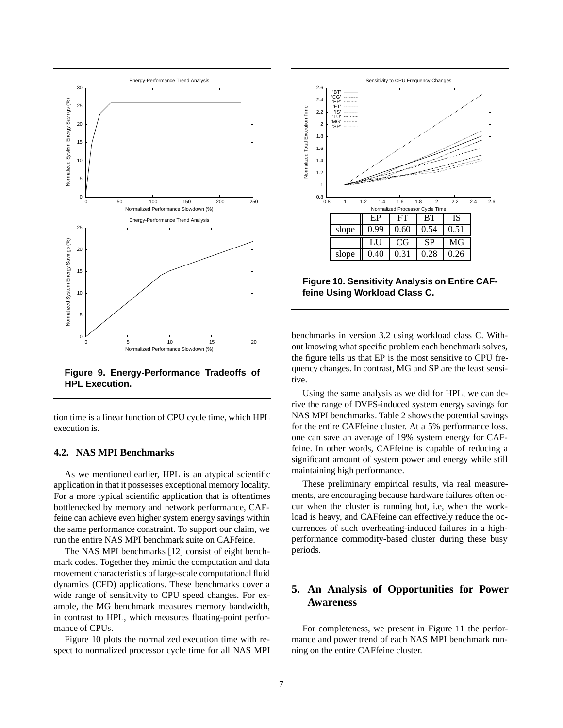

**Figure 9. Energy-Performance Tradeoffs of HPL Execution.**

tion time is a linear function of CPU cycle time, which HPL execution is.

# **4.2. NAS MPI Benchmarks**

As we mentioned earlier, HPL is an atypical scientific application in that it possesses exceptional memory locality. For a more typical scientific application that is oftentimes bottlenecked by memory and network performance, CAFfeine can achieve even higher system energy savings within the same performance constraint. To support our claim, we run the entire NAS MPI benchmark suite on CAFfeine.

The NAS MPI benchmarks [12] consist of eight benchmark codes. Together they mimic the computation and data movement characteristics of large-scale computational fluid dynamics (CFD) applications. These benchmarks cover a wide range of sensitivity to CPU speed changes. For example, the MG benchmark measures memory bandwidth, in contrast to HPL, which measures floating-point performance of CPUs.

Figure 10 plots the normalized execution time with respect to normalized processor cycle time for all NAS MPI



**Figure 10. Sensitivity Analysis on Entire CAFfeine Using Workload Class C.**

benchmarks in version 3.2 using workload class C. Without knowing what specific problem each benchmark solves, the figure tells us that EP is the most sensitive to CPU frequency changes. In contrast, MG and SP are the least sensitive.

Using the same analysis as we did for HPL, we can derive the range of DVFS-induced system energy savings for NAS MPI benchmarks. Table 2 shows the potential savings for the entire CAFfeine cluster. At a 5% performance loss, one can save an average of 19% system energy for CAFfeine. In other words, CAFfeine is capable of reducing a significant amount of system power and energy while still maintaining high performance.

These preliminary empirical results, via real measurements, are encouraging because hardware failures often occur when the cluster is running hot, i.e, when the workload is heavy, and CAFfeine can effectively reduce the occurrences of such overheating-induced failures in a highperformance commodity-based cluster during these busy periods.

# **5. An Analysis of Opportunities for Power Awareness**

For completeness, we present in Figure 11 the performance and power trend of each NAS MPI benchmark running on the entire CAFfeine cluster.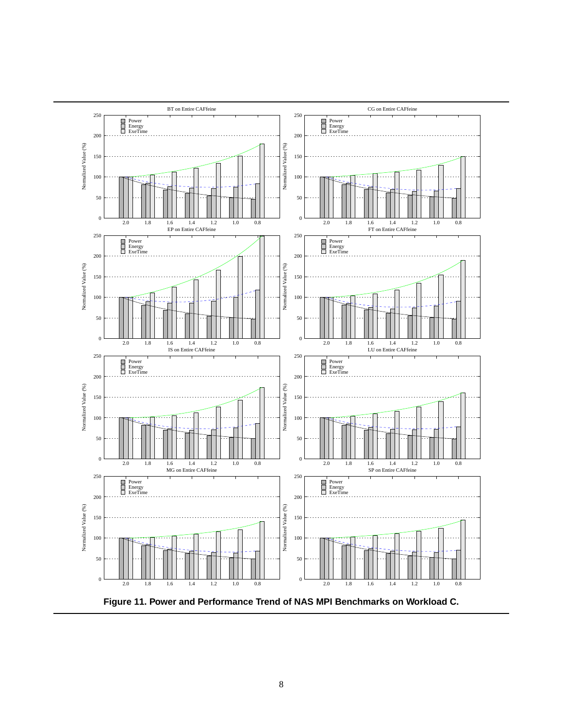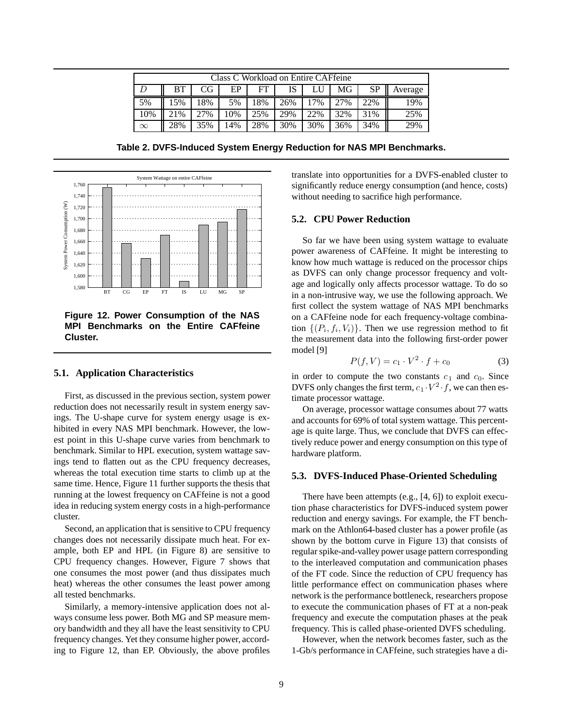| Class C Workload on Entire CAFfeine |     |     |     |     |     |     |      |     |         |  |  |  |
|-------------------------------------|-----|-----|-----|-----|-----|-----|------|-----|---------|--|--|--|
|                                     | BТ  | CG  | ЕP  | FT  | IS  |     | MG   | SP  | Average |  |  |  |
| 5%                                  | 5%  | 18% | 5%  | 18% | 26% | 17% | 2.7% | 22% | 19%     |  |  |  |
| 10%                                 | 21% | 27% | 10% | 25% | 29% | 22% | 32%  | 31% | 25%     |  |  |  |
| $\infty$                            | 28% | 35% | 14% | 28% | 30% | 30% | 36%  | 34% | 29%     |  |  |  |

**Table 2. DVFS-Induced System Energy Reduction for NAS MPI Benchmarks.**



**Figure 12. Power Consumption of the NAS MPI Benchmarks on the Entire CAFfeine Cluster.**

#### **5.1. Application Characteristics**

First, as discussed in the previous section, system power reduction does not necessarily result in system energy savings. The U-shape curve for system energy usage is exhibited in every NAS MPI benchmark. However, the lowest point in this U-shape curve varies from benchmark to benchmark. Similar to HPL execution, system wattage savings tend to flatten out as the CPU frequency decreases, whereas the total execution time starts to climb up at the same time. Hence, Figure 11 further supports the thesis that running at the lowest frequency on CAFfeine is not a good idea in reducing system energy costs in a high-performance cluster.

Second, an application that is sensitive to CPU frequency changes does not necessarily dissipate much heat. For example, both EP and HPL (in Figure 8) are sensitive to CPU frequency changes. However, Figure 7 shows that one consumes the most power (and thus dissipates much heat) whereas the other consumes the least power among all tested benchmarks.

Similarly, a memory-intensive application does not always consume less power. Both MG and SP measure memory bandwidth and they all have the least sensitivity to CPU frequency changes. Yet they consume higher power, according to Figure 12, than EP. Obviously, the above profiles translate into opportunities for a DVFS-enabled cluster to significantly reduce energy consumption (and hence, costs) without needing to sacrifice high performance.

## **5.2. CPU Power Reduction**

So far we have been using system wattage to evaluate power awareness of CAFfeine. It might be interesting to know how much wattage is reduced on the processor chips as DVFS can only change processor frequency and voltage and logically only affects processor wattage. To do so in a non-intrusive way, we use the following approach. We first collect the system wattage of NAS MPI benchmarks on a CAFfeine node for each frequency-voltage combination  $\{(P_i, f_i, V_i)\}$ . Then we use regression method to fit the measurement data into the following first-order power model [9]

$$
P(f, V) = c_1 \cdot V^2 \cdot f + c_0 \tag{3}
$$

in order to compute the two constants  $c_1$  and  $c_0$ . Since DVFS only changes the first term,  $c_1 \cdot V^2 \cdot f$ , we can then estimate processor wattage.

On average, processor wattage consumes about 77 watts and accounts for 69% of total system wattage. This percentage is quite large. Thus, we conclude that DVFS can effectively reduce power and energy consumption on this type of hardware platform.

#### **5.3. DVFS-Induced Phase-Oriented Scheduling**

There have been attempts (e.g., [4, 6]) to exploit execution phase characteristics for DVFS-induced system power reduction and energy savings. For example, the FT benchmark on the Athlon64-based cluster has a power profile (as shown by the bottom curve in Figure 13) that consists of regular spike-and-valley power usage pattern corresponding to the interleaved computation and communication phases of the FT code. Since the reduction of CPU frequency has little performance effect on communication phases where network is the performance bottleneck, researchers propose to execute the communication phases of FT at a non-peak frequency and execute the computation phases at the peak frequency. This is called phase-oriented DVFS scheduling.

However, when the network becomes faster, such as the 1-Gb/s performance in CAFfeine, such strategies have a di-